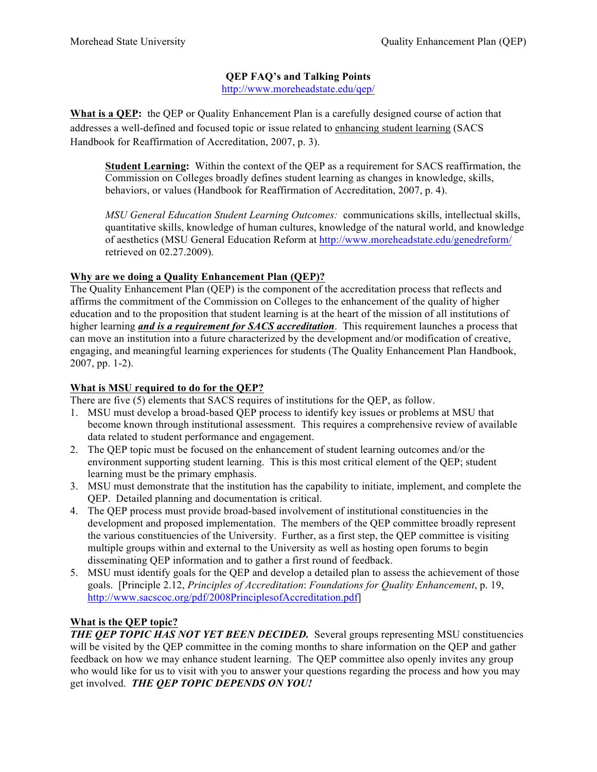## **QEP FAQ's and Talking Points**

http://www.moreheadstate.edu/qep/

**What is a QEP:** the QEP or Quality Enhancement Plan is a carefully designed course of action that addresses a well-defined and focused topic or issue related to enhancing student learning (SACS Handbook for Reaffirmation of Accreditation, 2007, p. 3).

**Student Learning:** Within the context of the QEP as a requirement for SACS reaffirmation, the Commission on Colleges broadly defines student learning as changes in knowledge, skills, behaviors, or values (Handbook for Reaffirmation of Accreditation, 2007, p. 4).

*MSU General Education Student Learning Outcomes:* communications skills, intellectual skills, quantitative skills, knowledge of human cultures, knowledge of the natural world, and knowledge of aesthetics (MSU General Education Reform at http://www.moreheadstate.edu/genedreform/ retrieved on 02.27.2009).

## **Why are we doing a Quality Enhancement Plan (QEP)?**

The Quality Enhancement Plan (QEP) is the component of the accreditation process that reflects and affirms the commitment of the Commission on Colleges to the enhancement of the quality of higher education and to the proposition that student learning is at the heart of the mission of all institutions of higher learning *and is a requirement for SACS accreditation*. This requirement launches a process that can move an institution into a future characterized by the development and/or modification of creative, engaging, and meaningful learning experiences for students (The Quality Enhancement Plan Handbook, 2007, pp. 1-2).

### **What is MSU required to do for the QEP?**

There are five (5) elements that SACS requires of institutions for the QEP, as follow.

- 1. MSU must develop a broad-based QEP process to identify key issues or problems at MSU that become known through institutional assessment. This requires a comprehensive review of available data related to student performance and engagement.
- 2. The QEP topic must be focused on the enhancement of student learning outcomes and/or the environment supporting student learning. This is this most critical element of the QEP; student learning must be the primary emphasis.
- 3. MSU must demonstrate that the institution has the capability to initiate, implement, and complete the QEP. Detailed planning and documentation is critical.
- 4. The QEP process must provide broad-based involvement of institutional constituencies in the development and proposed implementation. The members of the QEP committee broadly represent the various constituencies of the University. Further, as a first step, the QEP committee is visiting multiple groups within and external to the University as well as hosting open forums to begin disseminating QEP information and to gather a first round of feedback.
- 5. MSU must identify goals for the QEP and develop a detailed plan to assess the achievement of those goals. [Principle 2.12, *Principles of Accreditation*: *Foundations for Quality Enhancement*, p. 19, http://www.sacscoc.org/pdf/2008PrinciplesofAccreditation.pdf]

# **What is the QEP topic?**

*THE OEP TOPIC HAS NOT YET BEEN DECIDED.* Several groups representing MSU constituencies will be visited by the OEP committee in the coming months to share information on the OEP and gather feedback on how we may enhance student learning.The QEP committee also openly invites any group who would like for us to visit with you to answer your questions regarding the process and how you may get involved.*THE QEP TOPIC DEPENDS ON YOU!*